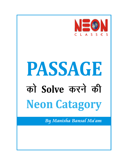

# PASSAGE को Solve करने की **Neon Catagory**

By Manisha Bansal Ma'am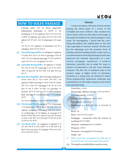## **HOW TO SOLVE PASSAGE**

- **(i) Out of Passage (OOP)-**
- **(ii) Factually Wrong (FW)-**
- दिया गया है उसके बारे में passage में बात की गई है तथा fact भी सही है लेकिन यह fact उस question का | Flourishes - लहराना answer नही है जो आपसे पूछा गया है। 90% students Menacingly - (Menac-threat) - डराने वाले तरीके से Red- herring और correct answer में ही confuse Phantasmagoric - काल्पनिक होते हैं। **(iii) Red- Herring (RH)** -

अतः हमें इस catagory को बहुत ध्यान से समझना होगा ।  $\begin{array}{|c|c|c|c|c|}\hline \text{N}}\hline \text{Discredited - 31} \text{m} \text{d} \text{m} \text{d} \text{m} \text{d} \text{m} \text{d} \text{m} \text{d} \text{m} \text{d} \text{m} \text{d} \text{m} \text{d} \text{m} \text{d} \text{m} \text{d} \text{m} \text{d} \text{m} \text{d} \text{m} \text{d$ 

- में एक particular व्यक्ति या वस्तु के लिए कही जाती है उसे स्वास्था करने से जाना । option esa iwjs group ds fy, apply djds fn;k tkrk gSA Birch - csar यह verbal logic की एक fallacy का concept भी है  $\frac{1}{2}$ ि  $\frac{1}{2}$  ,  $\frac{1}{2}$   $\frac{1}{2}$   $\frac{1}{2}$   $\frac{1}{2}$   $\frac{1}{2}$   $\frac{1}{2}$   $\frac{1}{2}$   $\frac{1}{2}$   $\frac{1}{2}$   $\frac{1}{2}$   $\frac{1}{2}$   $\frac{1}{2}$   $\frac{1}{2}$   $\frac{1}{2}$   $\frac{1}{2}$   $\frac{1}{2}$   $\frac{1}{2}$   $\frac{1}{2}$   $\frac{1}{2}$   $\frac{1}{2$ के आधार पर पूरी जाति, धर्म या पूरे समूदाय के सभी लोगों के बारे  $\|$  Pedagogic - connected with the science of में अपनी राय बना लेते है ।  $\qquad \qquad$  teaching पढाने से सम्बंधित **(iv) Too Broad(TB)-**
- ckr dgh tkrh gS oks dsoy vkaf'kd :i ls lgh gksrh gS iwjs Weapons gfFk;kj fact के केवल कुछ part को ही option में दिया जाता है शेष भाग को छोड दिया जाता है। **(v) Too-Short (TS)** -

I notice nowadays a little girl at home always Passage solve  $\overrightarrow{\Phi}$   $\overrightarrow{\Phi}$  Neon Approach playing the school game in a corner of the Elimination technique  $\overrightarrow{\Phi}$   $\overrightarrow{\Phi}$   $\overrightarrow{\Phi}$ Elimination technique  $\vec{v}$   $\vec{v}$   $\vec{v}$   $\vec{v}$   $\vec{v}$   $\vec{v}$   $\vec{v}$   $\vec{v}$  is  $\vec{v}$   $\vec{v}$  is  $\vec{v}$  verandah, but never without a flat, wooden foot technique  $\vec{v}$  is  $\vec{v}$  at  $\vec{v}$  is  $\vec{v}$  is  $\vec$ technique esa tks xyr options gksrsa gS mUgs gVk;k tkrk rule in hand, which she flourishes menacingly at gS D;ksafd tc options cgqr close gksrs gS rks muesa ls lgh the pupils assembled in her phantasmagoric class select करने की बजाय गलत को eliminate करना easy room. On investigation, I found that the cane,<br>है। being discredited, has yielded place to the foot अतः मैने इन गलत options को eliminate करने की 5 || rule, especially, in 'Convent' schools. The flat rule catagory बनाई हैं जो इस प्रकार हैं-<br>absolute the advantage over the primitive birch of mauling without marking (which could count as में वो fact दिया जाता है जो वास्तव में passage में दिया ही || an achievement in torturing technique) and it also नही है। हमें अपना answer passage में दी गई जानकारी के possesses the innocent appearance of a non-अनुसार ही देना है।अतः यह option गलत होगा। The state of violent pedagogic equipment. A modern education, naturally, has to adapt his ways to दिया जाता है उसके बारे मे passage में बात तो की जाती है || modern circumstances, and put away obsolete लेकिन वह fact सही नही होता बल्कि गलत fact दिया हुआ  $\left| \right|$  weapons. The flat rule is employed only at the and the primary stage; at higher levels of education, torments to a young soul are devised in subtle जिसका मतलब होता है "ध्यान भटकाने वाली चीज"। यहां | forms progressively; admissions, textbooks and options में Red- herring का मतलब ये होगा कि जो fact  $\|$  examinations are the triple weapons in the hands of an educator today.

Cane-hard hollow stem- पेड की लकड़ी।

Yield place to - किसी दूसरी चीज से स्थानान्तरित हो

Obsolete - outdated पुराना एवं अप्रचलित।

Torments - sin-anguish यातना, torture Subtle - सूक्ष्म

- **1.** What must have prompted the little girl to flourish the foot rule menacingly at the pupils?
- (a) The pupils assembled there must be noisy.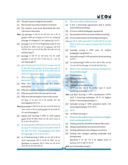## NE®N

- (b) The girl wants to frighten the pupils.
- 
- (d) Her teacher must have flourished the foot  $\parallel$  maul without marking rule in her classroom. (b) it is non-violent pedagogic equipment
- **Ans.** (a) passage में कही भी यह नही कहा गया है कि जो (c) the primitive birch can maul without marking pupils एकत्रित हुए वो noise कर रहे थे अतः यह Out of (d) it is an achievement in torturing techniques Passage की catagory है। अतः option (a) गलत है।
- (b) passage में यह कहा गया है कि girl foot-rule को डराते हुए हिलाती थी, लेकिन ये इस बात का answer नही है कि उसे किस चीज ने इस बात के लिए प्रेरित किया होगा अतः यह (b) factually wrong है क्योंकि cane एक violent red-herring है। The state of the pedagogic equipment था।
- (c) passage में कही भी यह नही बताया गया कि उसकी (c) factually wrong है क्योंकि primitive birch marking teacher ने उसे ऐसा करने के लिए कहा था । अतः यह | करती है। out of passage है।  $\vert$  (d) यह red-herring है क्योंकि यह कथन सही है लेकिन यह बात
- $(d)$  girl अपनी class की तरह ही अपने घर पर class लगा रही थी और उसने अपनी teacher को भी इस foot rule को 4. What is the advanced torturing techniques at लहराते हुए देखा होगा अतः स्पष्ट रूप से वह उसकी नकल कर  $\qquad \qquad | \qquad \qquad \qquad \qquad$  the primitive stage? रही थी। अतः option $(d)$  सही है।
- **2.** What could be the investigation taken up by the writer?
- (a) Why she was threatening the pupils assembled and text books assembled
- (b) Why she was always playing the school game<br>
torturing technique  $\frac{3}{2}$ <br>
(c) Why she used a flat rule instead of a cane
- 
- इस Que. में यह पूछा गया है कि writer द्वारा क्या | levels पर torturing technique है। investigation किया गया-<br>
(b) factually wrong है क्योंकि primitive birch पहलें
- Ans.(a) passage में कहीं भी यह नही कहा गया है कि लेखक यह hterturing technique थी अब नही है। जानना चाहता था कि वह लड़की pupils को क्यों डराती थी। अतः out of passage है।  $\begin{pmatrix} 1 \end{pmatrix}$  are  $\begin{pmatrix} d \end{pmatrix}$  , यह भी Red- herring है।
- (b) option red- herring है क्योंकि वह लड़की school  $\boldsymbol{g}$ ame खेलती थी लेकिन लेखक यह नही जानना चाहता था कि वह ऐसा क्यों करती थी।
- $(c)$  ) यह सही answer है क्योंकि लेखक यह जानना चाहता था कि वह cane की जगह foot rule को क्यो इस्तेमाल करती थी और इसके लिए लेखक ने Investigation किया जिसके बारे में passage में आगे भी बात की गई है।
- (d) यह भी Red-herring है क्योंकि यह बात सही है कि वह | facing exams लड़की classroom कोने में लगाती थी लेकिन यह इस | Question में यह पूछा गया है कि higher level पर Question का answer नहीं है। लेखक यह नहीं जानना  $\begin{bmatrix} 1 & 0 \\ 0 & 1 \end{bmatrix}$  torture करने का सूक्ष्म रूप क्या है? pkgrk fd og ,slk D;ksa djrh FkhA **Ans.**(a) ;g factually wrong gSA
- **3.** The cane is discredited because
- (c) Her teacher must have told her to do that.  $\qquad \qquad$  (a) it has a menacing appearance and it cannot
	-
	-
	-
	- Ans.(a) सही है, क्योंकि cane दिखने में डरावनी होती थी तथा इसमें निशान पड़ जाते थे अतः cane को school में काम में लेना छोड़  $f$ देया था।
	-
	-
	- का उत्तर नही देता कि cane को अब क्यो छोड़ दिया गया।
	-
	- (a) Examinations
	- (b) The primitive birch
	- (c) The flat foot rule
	- इस में यह पूछा गया है कि प्राथमिक स्कूलों में एडवांस
- (c) Why she used a flat rule instead of a cane **Ans.** (a) Red- herring  $\stackrel{\text{d}}{\text{c}}$  and  $\stackrel{\text{d}}{\text{d}}$  why was she having her class in the corner रकूलों में torturing technique नही है। यह higher
	-
	- $(c)$  सही है।

 $\mathcal{P}$ 

- 
- **5.** What are the subtler forms of torture at higher level, used progressively?
- (a) Putting away the obsolete weapons like canes
- (b) Using examinations as a means of torture
- (c) Getting admission into colleges is a torture
- (d) Getting into colleges, getting textbooks and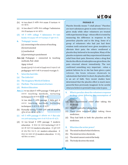## NEON

- (b) यह too short है क्योंकि केवल exam ही torture का रूप नही है।
- $(c)$  यह too short है क्योंकि केवल collage में admission लेना ही torture का रूप नही है।
- (d) सही है क्योंकि college में Admission लेना text books तथा exam सभी करने torture के सूक्ष्म रूप है।
- **6.** 'Pedagogic' means
	- (a) connecting to the science of teaching
	- (b) instrumental
	- (c) methodical
	- (d)pertaining to punishment
- **Ans**. **(a)** Pedagogic = connected to teaching methods, Ped- child
	- Agog- to lead
	- Greek (यूनान) में जो बच्चों को lead करता है पढ़ाता है उसे pedagogue कहते थे वहीं से इस word का origin है।
- **7.** Select the best title:
- (a) The Little Girl
- (b) The Imaginary World of Children
- (c) Flat Rule : The instrument of torture
- (d) Modern Education
- **Ans.**(a) यह too short है क्योंकि passage में little girl के अलावा teaching methods, torturing techniques के बारे में भी बात की गई है।

यह too short है क्योंकि passage में little girl के अलावा teaching methods, torturing techniques के बारे में भी बात की गई है।

- (b) Factually wrong है क्योंकि इसमें बच्चों की काल्पनिक दनिया की बात नही की गई है।
- $(c)$  सही है क्योंकि passage के अधिकांश भाग में flat rule तथा इसके torturing स्वरूप के बारे में ही बात की गई है।
- $(d)$  यह too broad है क्योंकि passage में modern education के केवल एक स्वरूप torturing के बारे में बात की गई है तथा modern education के दूसरे भागों को छोड़ दिया गया है। अतः modern education के केवल एक स्वरूप को पूरे modern education पर लागू नही किया जा सकता।

### **PASSAGE–II**

Placebo literally means "I shall please." Placebos are inert substances given to some volunteers in a given study while other volunteers are treated with experimental drugs - whose effect is tested by measuring the difference in response to the powerless placebo and to the drug. Some of a group of volunteers who had just had their wisdom teeth extracted were given morphine to alleviate their pain; the others swallowed a placebo they believed to be morphine. Many of the placebo recipients said they experienced dramatic relief from their pain. However, when a drug that blocks the effects of endorphin was given them, the pain returned almost immediately. The test confirmed something very important : when a patient believes he or she has been given a pain reliever, the brain releases chemicals to substantiate that belief. In short, the placebo effect is an act of faith. Very recent studies have determined that the placebo effect is much more powerful then previously imagined. So be careful what you believe is pretend it may come to pass.

- **1.** What is peculiar about the volunteers response to drugs given following the consumption of placebo?
- (a) They experienced relief after taking the medicine.
- (b) They felt pain after taking them.
- (c) Their pain returned after taking these medicines.
- (d) They had faith in both the placebos and the medicines.

#### **2.** What does the writer prove?

- (a) The mind realized what it believes.
- (b) The mind secretes chemicals.
- (c) The mind cannot control the body.
- (d) The body deceives the mind.

 $\mathbf{R}$